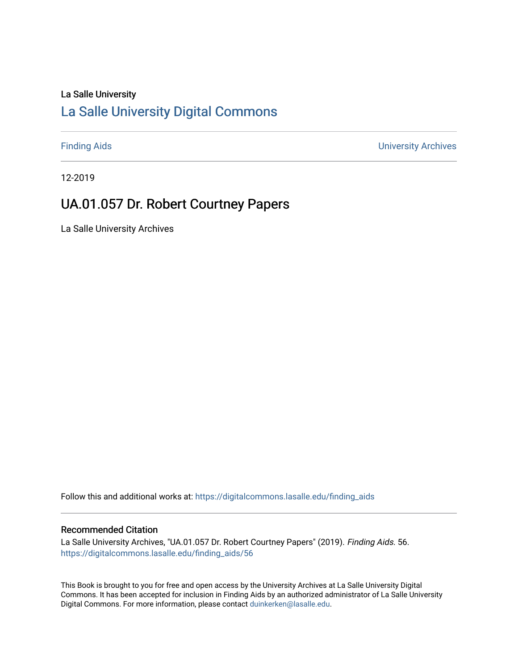#### La Salle University

# [La Salle University Digital Commons](https://digitalcommons.lasalle.edu/)

[Finding Aids](https://digitalcommons.lasalle.edu/finding_aids) [University Archives](https://digitalcommons.lasalle.edu/universityarchives) 

12-2019

# UA.01.057 Dr. Robert Courtney Papers

La Salle University Archives

Follow this and additional works at: [https://digitalcommons.lasalle.edu/finding\\_aids](https://digitalcommons.lasalle.edu/finding_aids?utm_source=digitalcommons.lasalle.edu%2Ffinding_aids%2F56&utm_medium=PDF&utm_campaign=PDFCoverPages) 

#### Recommended Citation

La Salle University Archives, "UA.01.057 Dr. Robert Courtney Papers" (2019). Finding Aids. 56. [https://digitalcommons.lasalle.edu/finding\\_aids/56](https://digitalcommons.lasalle.edu/finding_aids/56?utm_source=digitalcommons.lasalle.edu%2Ffinding_aids%2F56&utm_medium=PDF&utm_campaign=PDFCoverPages) 

This Book is brought to you for free and open access by the University Archives at La Salle University Digital Commons. It has been accepted for inclusion in Finding Aids by an authorized administrator of La Salle University Digital Commons. For more information, please contact [duinkerken@lasalle.edu](mailto:duinkerken@lasalle.edu).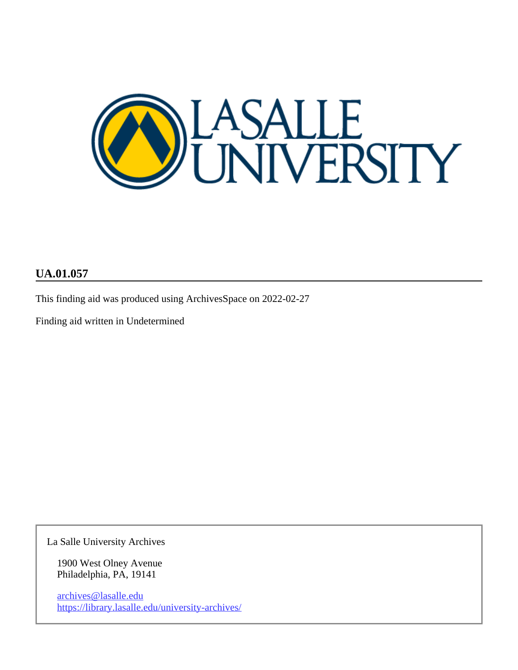

#### **UA.01.057**

This finding aid was produced using ArchivesSpace on 2022-02-27

Finding aid written in Undetermined

La Salle University Archives

1900 West Olney Avenue Philadelphia, PA, 19141

archives@lasalle.edu <https://library.lasalle.edu/university-archives/>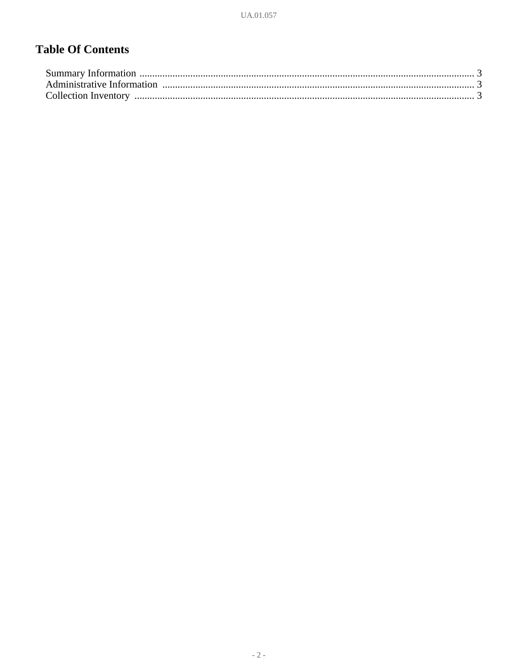# **Table Of Contents**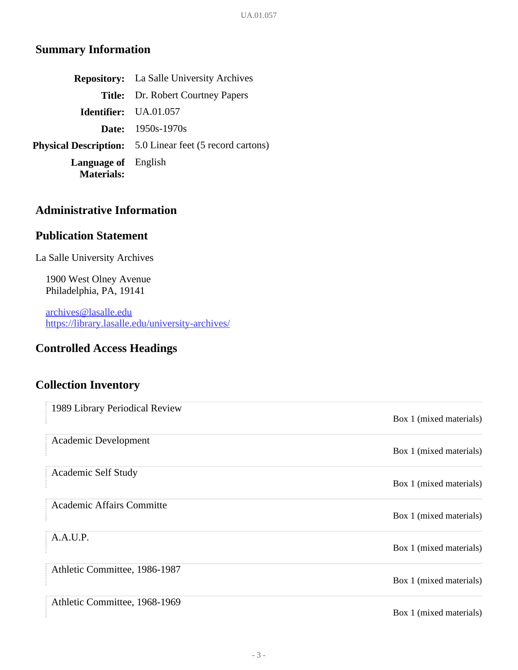## <span id="page-3-0"></span>**Summary Information**

|                                                 | <b>Repository:</b> La Salle University Archives                 |
|-------------------------------------------------|-----------------------------------------------------------------|
|                                                 | <b>Title:</b> Dr. Robert Courtney Papers                        |
|                                                 | <b>Identifier:</b> UA.01.057                                    |
|                                                 | <b>Date:</b> $1950s-1970s$                                      |
|                                                 | <b>Physical Description:</b> 5.0 Linear feet (5 record cartons) |
| <b>Language of</b> English<br><b>Materials:</b> |                                                                 |

#### <span id="page-3-1"></span>**Administrative Information**

#### **Publication Statement**

La Salle University Archives

1900 West Olney Avenue Philadelphia, PA, 19141

archives@lasalle.edu <https://library.lasalle.edu/university-archives/>

## **Controlled Access Headings**

## <span id="page-3-2"></span>**Collection Inventory**

| 1989 Library Periodical Review   |                         |
|----------------------------------|-------------------------|
|                                  | Box 1 (mixed materials) |
| Academic Development             |                         |
|                                  | Box 1 (mixed materials) |
| Academic Self Study              |                         |
|                                  | Box 1 (mixed materials) |
| <b>Academic Affairs Committe</b> |                         |
|                                  | Box 1 (mixed materials) |
| A.A.U.P.                         |                         |
|                                  | Box 1 (mixed materials) |
| Athletic Committee, 1986-1987    |                         |
|                                  | Box 1 (mixed materials) |
| Athletic Committee, 1968-1969    |                         |
|                                  | Box 1 (mixed materials) |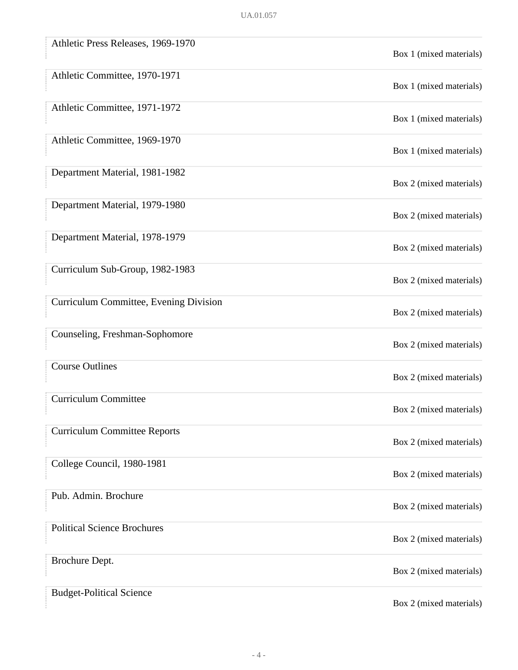| Athletic Press Releases, 1969-1970     | Box 1 (mixed materials) |
|----------------------------------------|-------------------------|
| Athletic Committee, 1970-1971          | Box 1 (mixed materials) |
| Athletic Committee, 1971-1972          | Box 1 (mixed materials) |
| Athletic Committee, 1969-1970          | Box 1 (mixed materials) |
| Department Material, 1981-1982         | Box 2 (mixed materials) |
| Department Material, 1979-1980         | Box 2 (mixed materials) |
| Department Material, 1978-1979         | Box 2 (mixed materials) |
| Curriculum Sub-Group, 1982-1983        | Box 2 (mixed materials) |
| Curriculum Committee, Evening Division | Box 2 (mixed materials) |
| Counseling, Freshman-Sophomore         | Box 2 (mixed materials) |
| <b>Course Outlines</b>                 | Box 2 (mixed materials) |
| <b>Curriculum Committee</b>            | Box 2 (mixed materials) |
| <b>Curriculum Committee Reports</b>    | Box 2 (mixed materials) |
| College Council, 1980-1981             | Box 2 (mixed materials) |
| Pub. Admin. Brochure                   | Box 2 (mixed materials) |
| <b>Political Science Brochures</b>     | Box 2 (mixed materials) |
| Brochure Dept.                         | Box 2 (mixed materials) |
| <b>Budget-Political Science</b>        | Box 2 (mixed materials) |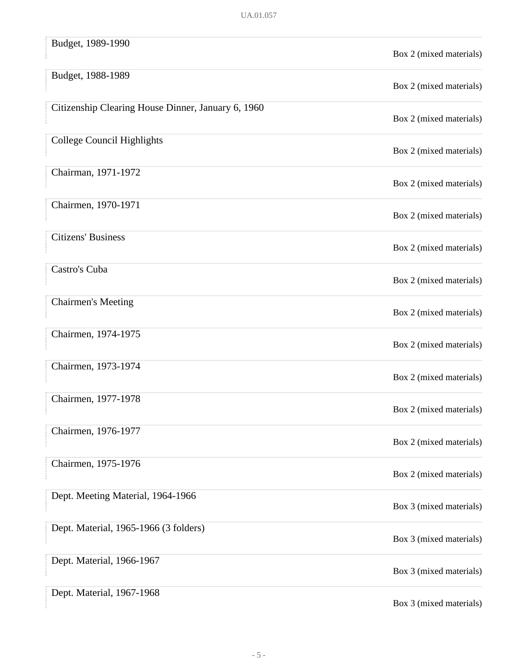| Budget, 1989-1990                                  | Box 2 (mixed materials) |
|----------------------------------------------------|-------------------------|
| Budget, 1988-1989                                  | Box 2 (mixed materials) |
| Citizenship Clearing House Dinner, January 6, 1960 | Box 2 (mixed materials) |
| <b>College Council Highlights</b>                  | Box 2 (mixed materials) |
| Chairman, 1971-1972                                | Box 2 (mixed materials) |
| Chairmen, 1970-1971                                | Box 2 (mixed materials) |
| <b>Citizens' Business</b>                          | Box 2 (mixed materials) |
| Castro's Cuba                                      | Box 2 (mixed materials) |
| <b>Chairmen's Meeting</b>                          | Box 2 (mixed materials) |
| Chairmen, 1974-1975                                | Box 2 (mixed materials) |
| Chairmen, 1973-1974                                | Box 2 (mixed materials) |
| Chairmen, 1977-1978                                | Box 2 (mixed materials) |
| Chairmen, 1976-1977                                | Box 2 (mixed materials) |
| Chairmen, 1975-1976                                | Box 2 (mixed materials) |
| Dept. Meeting Material, 1964-1966                  | Box 3 (mixed materials) |
| Dept. Material, 1965-1966 (3 folders)              | Box 3 (mixed materials) |
| Dept. Material, 1966-1967                          | Box 3 (mixed materials) |
| Dept. Material, 1967-1968                          | Box 3 (mixed materials) |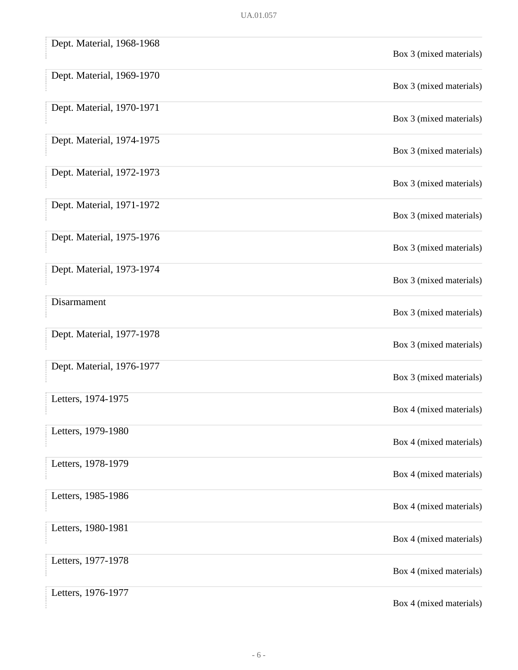| Dept. Material, 1968-1968 | Box 3 (mixed materials) |
|---------------------------|-------------------------|
| Dept. Material, 1969-1970 | Box 3 (mixed materials) |
| Dept. Material, 1970-1971 | Box 3 (mixed materials) |
| Dept. Material, 1974-1975 | Box 3 (mixed materials) |
| Dept. Material, 1972-1973 | Box 3 (mixed materials) |
| Dept. Material, 1971-1972 | Box 3 (mixed materials) |
| Dept. Material, 1975-1976 | Box 3 (mixed materials) |
| Dept. Material, 1973-1974 | Box 3 (mixed materials) |
| Disarmament               | Box 3 (mixed materials) |
| Dept. Material, 1977-1978 | Box 3 (mixed materials) |
| Dept. Material, 1976-1977 | Box 3 (mixed materials) |
| Letters, 1974-1975        | Box 4 (mixed materials) |
| Letters, 1979-1980        | Box 4 (mixed materials) |
| Letters, 1978-1979        | Box 4 (mixed materials) |
| Letters, 1985-1986        | Box 4 (mixed materials) |
| Letters, 1980-1981        | Box 4 (mixed materials) |
| Letters, 1977-1978        | Box 4 (mixed materials) |
| Letters, 1976-1977        | Box 4 (mixed materials) |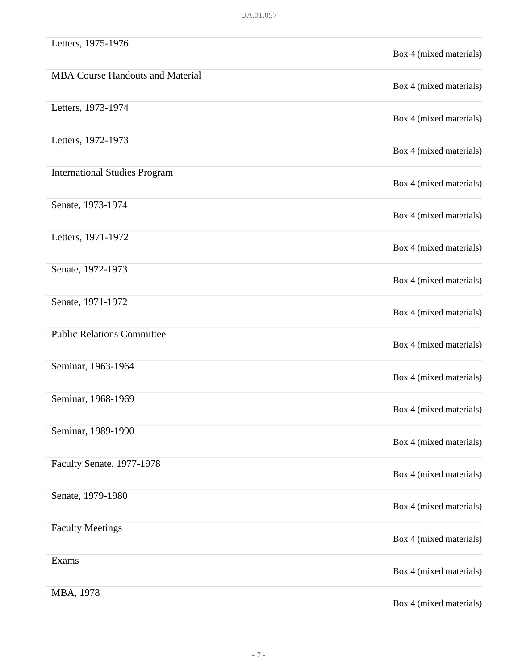| Letters, 1975-1976                      | Box 4 (mixed materials) |
|-----------------------------------------|-------------------------|
| <b>MBA Course Handouts and Material</b> | Box 4 (mixed materials) |
| Letters, 1973-1974                      | Box 4 (mixed materials) |
| Letters, 1972-1973                      | Box 4 (mixed materials) |
| <b>International Studies Program</b>    | Box 4 (mixed materials) |
| Senate, 1973-1974                       | Box 4 (mixed materials) |
| Letters, 1971-1972                      | Box 4 (mixed materials) |
| Senate, 1972-1973                       | Box 4 (mixed materials) |
| Senate, 1971-1972                       | Box 4 (mixed materials) |
| <b>Public Relations Committee</b>       | Box 4 (mixed materials) |
| Seminar, 1963-1964                      | Box 4 (mixed materials) |
| Seminar, 1968-1969                      | Box 4 (mixed materials) |
| Seminar, 1989-1990                      | Box 4 (mixed materials) |
| Faculty Senate, 1977-1978               | Box 4 (mixed materials) |
| Senate, 1979-1980                       | Box 4 (mixed materials) |
| <b>Faculty Meetings</b>                 | Box 4 (mixed materials) |
| Exams                                   | Box 4 (mixed materials) |
| MBA, 1978                               | Box 4 (mixed materials) |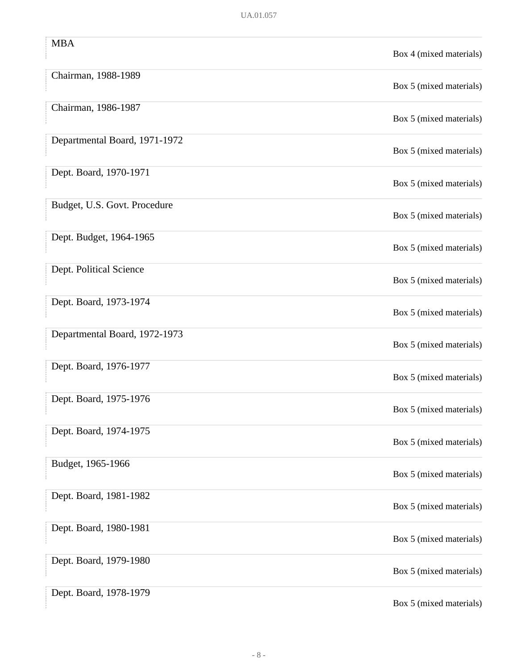| <b>MBA</b>                    | Box 4 (mixed materials) |
|-------------------------------|-------------------------|
| Chairman, 1988-1989           | Box 5 (mixed materials) |
| Chairman, 1986-1987           | Box 5 (mixed materials) |
| Departmental Board, 1971-1972 | Box 5 (mixed materials) |
| Dept. Board, 1970-1971        | Box 5 (mixed materials) |
| Budget, U.S. Govt. Procedure  | Box 5 (mixed materials) |
| Dept. Budget, 1964-1965       | Box 5 (mixed materials) |
| Dept. Political Science       | Box 5 (mixed materials) |
| Dept. Board, 1973-1974        | Box 5 (mixed materials) |
| Departmental Board, 1972-1973 | Box 5 (mixed materials) |
| Dept. Board, 1976-1977        | Box 5 (mixed materials) |
| Dept. Board, 1975-1976        | Box 5 (mixed materials) |
| Dept. Board, 1974-1975        | Box 5 (mixed materials) |
| Budget, 1965-1966             | Box 5 (mixed materials) |
| Dept. Board, 1981-1982        | Box 5 (mixed materials) |
| Dept. Board, 1980-1981        | Box 5 (mixed materials) |
| Dept. Board, 1979-1980        | Box 5 (mixed materials) |
| Dept. Board, 1978-1979        | Box 5 (mixed materials) |